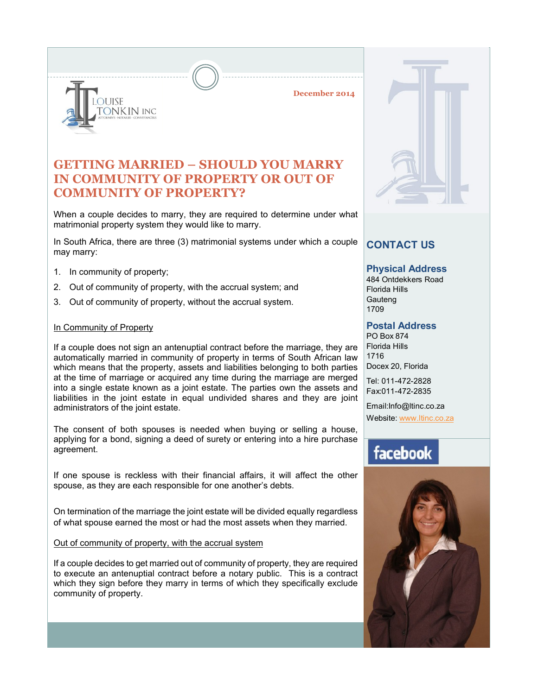**December 2014**

### **GETTING MARRIED – SHOULD YOU MARRY IN COMMUNITY OF PROPERTY OR OUT OF COMMUNITY OF PROPERTY?**

When a couple decides to marry, they are required to determine under what matrimonial property system they would like to marry.

In South Africa, there are three (3) matrimonial systems under which a couple may marry:

1. In community of property;

**DUISE** 

ONKIN INC

- 2. Out of community of property, with the accrual system; and
- 3. Out of community of property, without the accrual system.

#### In Community of Property

If a couple does not sign an antenuptial contract before the marriage, they are automatically married in community of property in terms of South African law which means that the property, assets and liabilities belonging to both parties at the time of marriage or acquired any time during the marriage are merged into a single estate known as a joint estate. The parties own the assets and liabilities in the joint estate in equal undivided shares and they are joint administrators of the joint estate.

The consent of both spouses is needed when buying or selling a house, applying for a bond, signing a deed of surety or entering into a hire purchase agreement.

If one spouse is reckless with their financial affairs, it will affect the other spouse, as they are each responsible for one another's debts.

On termination of the marriage the joint estate will be divided equally regardless of what spouse earned the most or had the most assets when they married.

Out of community of property, with the accrual system

If a couple decides to get married out of community of property, they are required to execute an antenuptial contract before a notary public. This is a contract which they sign before they marry in terms of which they specifically exclude community of property.



### **CONTACT US**

#### **Physical Address**

484 Ontdekkers Road Florida Hills **Gauteng** 1709

#### **Postal Address**

PO Box 874 Florida Hills 1716 Docex 20, Florida

Tel: 011-472-2828 Fax:011-472-2835

Email:Info@ltinc.co.za

Website: www.ltinc.co.za

# facebook